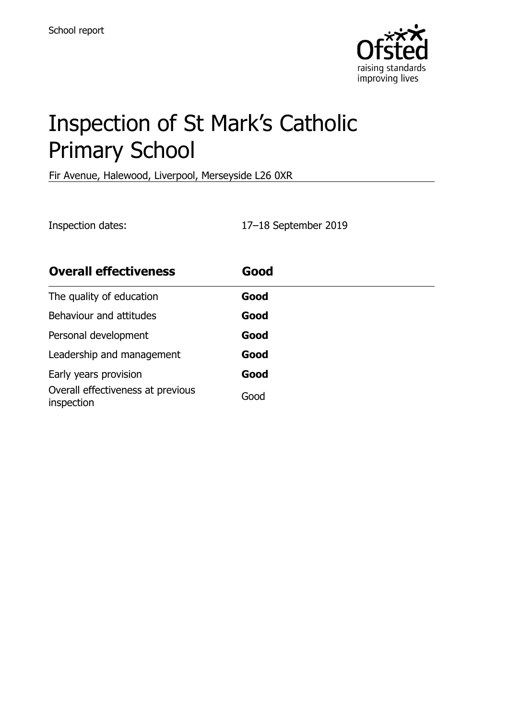

# Inspection of St Mark's Catholic Primary School

Fir Avenue, Halewood, Liverpool, Merseyside L26 0XR

Inspection dates: 17–18 September 2019

| <b>Overall effectiveness</b>                    | Good |
|-------------------------------------------------|------|
| The quality of education                        | Good |
| Behaviour and attitudes                         | Good |
| Personal development                            | Good |
| Leadership and management                       | Good |
| Early years provision                           | Good |
| Overall effectiveness at previous<br>inspection | Good |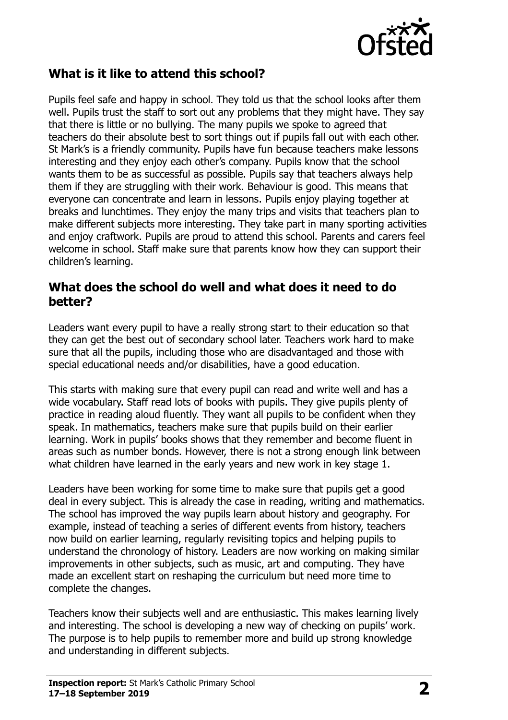

#### **What is it like to attend this school?**

Pupils feel safe and happy in school. They told us that the school looks after them well. Pupils trust the staff to sort out any problems that they might have. They say that there is little or no bullying. The many pupils we spoke to agreed that teachers do their absolute best to sort things out if pupils fall out with each other. St Mark's is a friendly community. Pupils have fun because teachers make lessons interesting and they enjoy each other's company. Pupils know that the school wants them to be as successful as possible. Pupils say that teachers always help them if they are struggling with their work. Behaviour is good. This means that everyone can concentrate and learn in lessons. Pupils enjoy playing together at breaks and lunchtimes. They enjoy the many trips and visits that teachers plan to make different subjects more interesting. They take part in many sporting activities and enjoy craftwork. Pupils are proud to attend this school. Parents and carers feel welcome in school. Staff make sure that parents know how they can support their children's learning.

#### **What does the school do well and what does it need to do better?**

Leaders want every pupil to have a really strong start to their education so that they can get the best out of secondary school later. Teachers work hard to make sure that all the pupils, including those who are disadvantaged and those with special educational needs and/or disabilities, have a good education.

This starts with making sure that every pupil can read and write well and has a wide vocabulary. Staff read lots of books with pupils. They give pupils plenty of practice in reading aloud fluently. They want all pupils to be confident when they speak. In mathematics, teachers make sure that pupils build on their earlier learning. Work in pupils' books shows that they remember and become fluent in areas such as number bonds. However, there is not a strong enough link between what children have learned in the early years and new work in key stage 1.

Leaders have been working for some time to make sure that pupils get a good deal in every subject. This is already the case in reading, writing and mathematics. The school has improved the way pupils learn about history and geography. For example, instead of teaching a series of different events from history, teachers now build on earlier learning, regularly revisiting topics and helping pupils to understand the chronology of history. Leaders are now working on making similar improvements in other subjects, such as music, art and computing. They have made an excellent start on reshaping the curriculum but need more time to complete the changes.

Teachers know their subjects well and are enthusiastic. This makes learning lively and interesting. The school is developing a new way of checking on pupils' work. The purpose is to help pupils to remember more and build up strong knowledge and understanding in different subjects.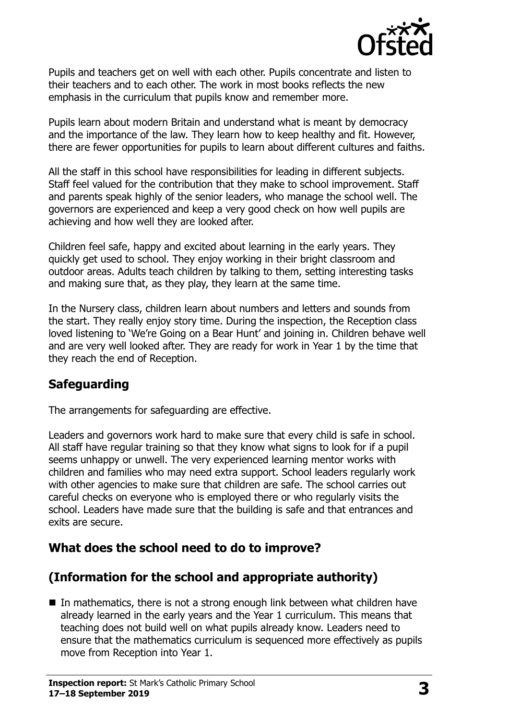

Pupils and teachers get on well with each other. Pupils concentrate and listen to their teachers and to each other. The work in most books reflects the new emphasis in the curriculum that pupils know and remember more.

Pupils learn about modern Britain and understand what is meant by democracy and the importance of the law. They learn how to keep healthy and fit. However, there are fewer opportunities for pupils to learn about different cultures and faiths.

All the staff in this school have responsibilities for leading in different subjects. Staff feel valued for the contribution that they make to school improvement. Staff and parents speak highly of the senior leaders, who manage the school well. The governors are experienced and keep a very good check on how well pupils are achieving and how well they are looked after.

Children feel safe, happy and excited about learning in the early years. They quickly get used to school. They enjoy working in their bright classroom and outdoor areas. Adults teach children by talking to them, setting interesting tasks and making sure that, as they play, they learn at the same time.

In the Nursery class, children learn about numbers and letters and sounds from the start. They really enjoy story time. During the inspection, the Reception class loved listening to 'We're Going on a Bear Hunt' and joining in. Children behave well and are very well looked after. They are ready for work in Year 1 by the time that they reach the end of Reception.

# **Safeguarding**

The arrangements for safeguarding are effective.

Leaders and governors work hard to make sure that every child is safe in school. All staff have regular training so that they know what signs to look for if a pupil seems unhappy or unwell. The very experienced learning mentor works with children and families who may need extra support. School leaders regularly work with other agencies to make sure that children are safe. The school carries out careful checks on everyone who is employed there or who regularly visits the school. Leaders have made sure that the building is safe and that entrances and exits are secure.

# **What does the school need to do to improve?**

# **(Information for the school and appropriate authority)**

In mathematics, there is not a strong enough link between what children have already learned in the early years and the Year 1 curriculum. This means that teaching does not build well on what pupils already know. Leaders need to ensure that the mathematics curriculum is sequenced more effectively as pupils move from Reception into Year 1.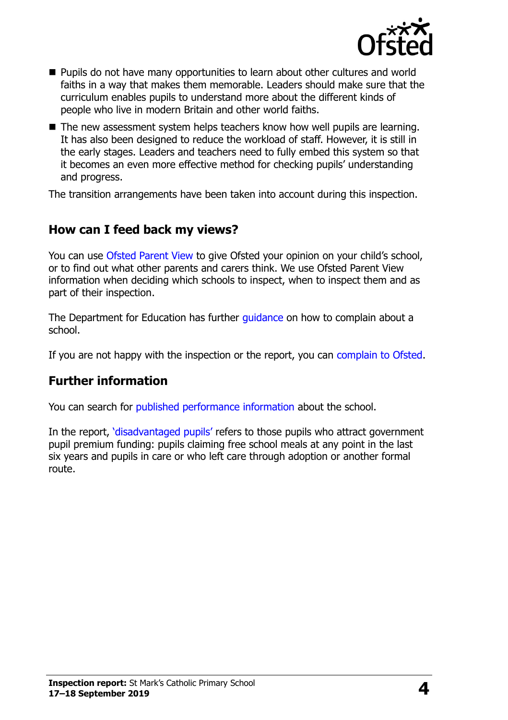

- **Pupils do not have many opportunities to learn about other cultures and world** faiths in a way that makes them memorable. Leaders should make sure that the curriculum enables pupils to understand more about the different kinds of people who live in modern Britain and other world faiths.
- $\blacksquare$  The new assessment system helps teachers know how well pupils are learning. It has also been designed to reduce the workload of staff. However, it is still in the early stages. Leaders and teachers need to fully embed this system so that it becomes an even more effective method for checking pupils' understanding and progress.

The transition arrangements have been taken into account during this inspection.

### **How can I feed back my views?**

You can use [Ofsted Parent View](http://parentview.ofsted.gov.uk/) to give Ofsted your opinion on your child's school, or to find out what other parents and carers think. We use Ofsted Parent View information when deciding which schools to inspect, when to inspect them and as part of their inspection.

The Department for Education has further quidance on how to complain about a school.

If you are not happy with the inspection or the report, you can [complain to Ofsted.](http://www.gov.uk/complain-ofsted-report)

#### **Further information**

You can search for [published performance information](http://www.compare-school-performance.service.gov.uk/) about the school.

In the report, '[disadvantaged pupils](http://www.gov.uk/guidance/pupil-premium-information-for-schools-and-alternative-provision-settings)' refers to those pupils who attract government pupil premium funding: pupils claiming free school meals at any point in the last six years and pupils in care or who left care through adoption or another formal route.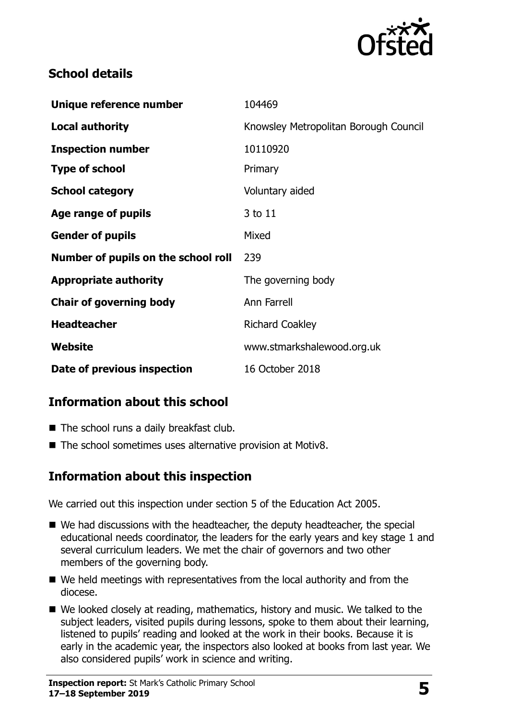

#### **School details**

| Knowsley Metropolitan Borough Council<br>10110920<br>Primary<br>Voluntary aided<br>3 to 11<br>Mixed<br>239<br>The governing body<br>Ann Farrell<br><b>Richard Coakley</b><br>www.stmarkshalewood.org.uk<br>16 October 2018 | Unique reference number             | 104469 |
|----------------------------------------------------------------------------------------------------------------------------------------------------------------------------------------------------------------------------|-------------------------------------|--------|
|                                                                                                                                                                                                                            | Local authority                     |        |
|                                                                                                                                                                                                                            | <b>Inspection number</b>            |        |
|                                                                                                                                                                                                                            | <b>Type of school</b>               |        |
|                                                                                                                                                                                                                            | <b>School category</b>              |        |
|                                                                                                                                                                                                                            | Age range of pupils                 |        |
|                                                                                                                                                                                                                            | <b>Gender of pupils</b>             |        |
|                                                                                                                                                                                                                            | Number of pupils on the school roll |        |
|                                                                                                                                                                                                                            | <b>Appropriate authority</b>        |        |
|                                                                                                                                                                                                                            | <b>Chair of governing body</b>      |        |
|                                                                                                                                                                                                                            | <b>Headteacher</b>                  |        |
|                                                                                                                                                                                                                            | Website                             |        |
|                                                                                                                                                                                                                            | Date of previous inspection         |        |

# **Information about this school**

- The school runs a daily breakfast club.
- The school sometimes uses alternative provision at Motiv8.

# **Information about this inspection**

We carried out this inspection under section 5 of the Education Act 2005.

- We had discussions with the headteacher, the deputy headteacher, the special educational needs coordinator, the leaders for the early years and key stage 1 and several curriculum leaders. We met the chair of governors and two other members of the governing body.
- We held meetings with representatives from the local authority and from the diocese.
- We looked closely at reading, mathematics, history and music. We talked to the subject leaders, visited pupils during lessons, spoke to them about their learning, listened to pupils' reading and looked at the work in their books. Because it is early in the academic year, the inspectors also looked at books from last year. We also considered pupils' work in science and writing.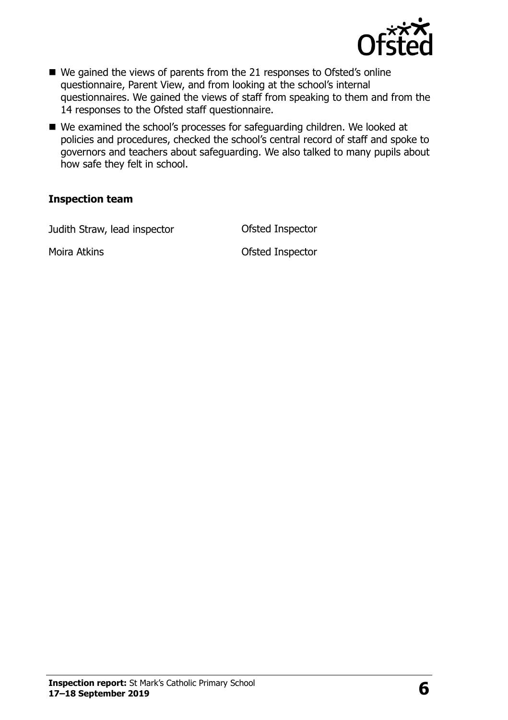

- We gained the views of parents from the 21 responses to Ofsted's online questionnaire, Parent View, and from looking at the school's internal questionnaires. We gained the views of staff from speaking to them and from the 14 responses to the Ofsted staff questionnaire.
- We examined the school's processes for safeguarding children. We looked at policies and procedures, checked the school's central record of staff and spoke to governors and teachers about safeguarding. We also talked to many pupils about how safe they felt in school.

#### **Inspection team**

Judith Straw, lead inspector **Conservation Conservation** Ofsted Inspector

Moira Atkins Ofsted Inspector